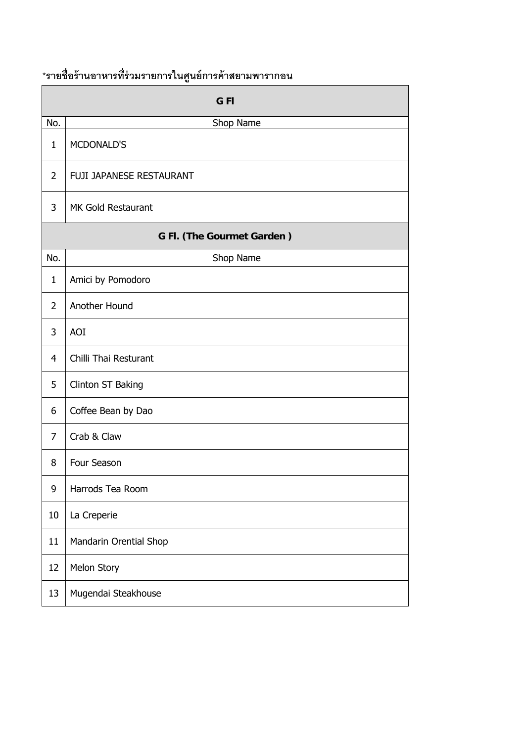## **\*รายช่ือร้านอาหารท่รี่วมรายการในศนยู ์การค้าสยามพารากอน**

|                            | ٩J                       |
|----------------------------|--------------------------|
|                            | <b>GFI</b>               |
| No.                        | Shop Name                |
| $\mathbf{1}$               | MCDONALD'S               |
| $\overline{2}$             | FUJI JAPANESE RESTAURANT |
| 3                          | MK Gold Restaurant       |
| G Fl. (The Gourmet Garden) |                          |
| No.                        | Shop Name                |
| $\mathbf{1}$               | Amici by Pomodoro        |
| $\overline{2}$             | Another Hound            |
| 3                          | AOI                      |
| $\overline{\mathbf{4}}$    | Chilli Thai Resturant    |
| 5                          | Clinton ST Baking        |
| 6                          | Coffee Bean by Dao       |
| 7                          | Crab & Claw              |
| 8                          | Four Season              |
| 9                          | Harrods Tea Room         |
| $10\,$                     | La Creperie              |
| 11                         | Mandarin Orential Shop   |
| 12                         | Melon Story              |
| 13                         | Mugendai Steakhouse      |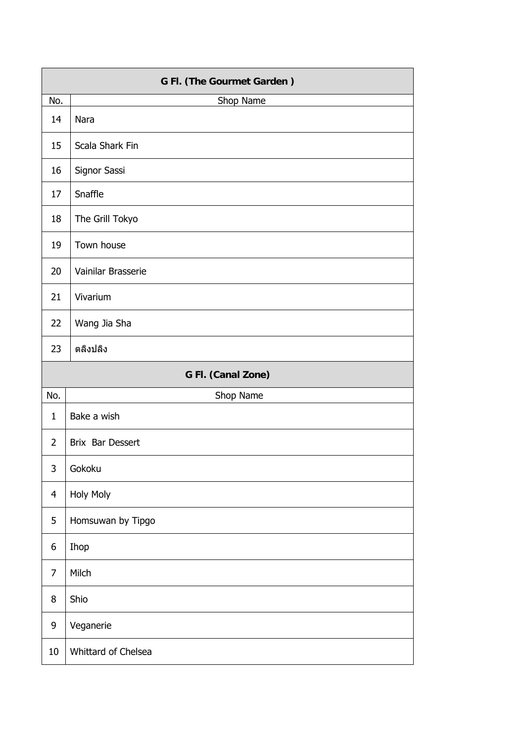| G Fl. (The Gourmet Garden) |                     |
|----------------------------|---------------------|
| No.                        | Shop Name           |
| 14                         | <b>Nara</b>         |
| 15                         | Scala Shark Fin     |
| 16                         | Signor Sassi        |
| 17                         | Snaffle             |
| 18                         | The Grill Tokyo     |
| 19                         | Town house          |
| 20                         | Vainilar Brasserie  |
| 21                         | Vivarium            |
| 22                         | Wang Jia Sha        |
| 23                         | ตลิงปลิง            |
|                            | G Fl. (Canal Zone)  |
| No.                        | Shop Name           |
| $\mathbf{1}$               | Bake a wish         |
| $\overline{2}$             | Brix Bar Dessert    |
| 3                          | Gokoku              |
| $\overline{4}$             | <b>Holy Moly</b>    |
| 5                          | Homsuwan by Tipgo   |
| 6                          | Ihop                |
| $\overline{7}$             | Milch               |
| 8                          | Shio                |
| 9                          | Veganerie           |
| $10\,$                     | Whittard of Chelsea |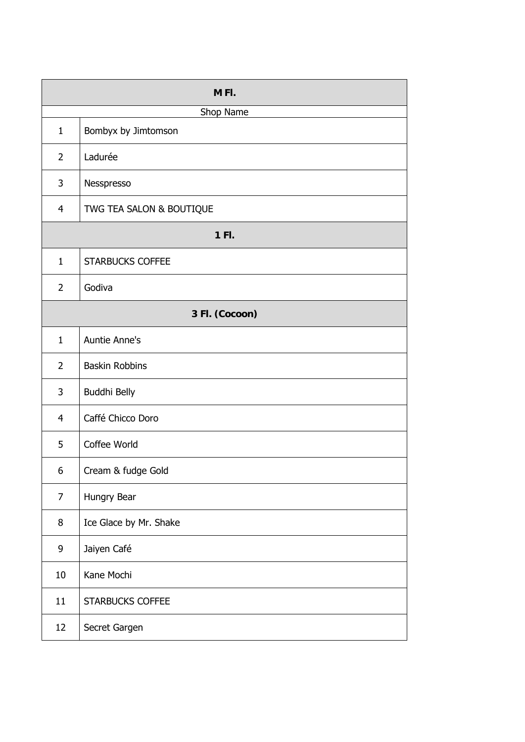| M <sub>FI</sub> . |                          |
|-------------------|--------------------------|
|                   | Shop Name                |
| $\mathbf{1}$      | Bombyx by Jimtomson      |
| $\overline{2}$    | Ladurée                  |
| 3                 | Nesspresso               |
| $\overline{4}$    | TWG TEA SALON & BOUTIQUE |
| 1 Fl.             |                          |
| $\mathbf{1}$      | <b>STARBUCKS COFFEE</b>  |
| $\overline{2}$    | Godiva                   |
|                   | 3 Fl. (Cocoon)           |
| $\mathbf{1}$      | Auntie Anne's            |
| $\overline{2}$    | <b>Baskin Robbins</b>    |
| 3                 | Buddhi Belly             |
| 4                 | Caffé Chicco Doro        |
| 5                 | Coffee World             |
| 6                 | Cream & fudge Gold       |
| 7                 | Hungry Bear              |
| 8                 | Ice Glace by Mr. Shake   |
| 9                 | Jaiyen Café              |
| 10                | Kane Mochi               |
| 11                | <b>STARBUCKS COFFEE</b>  |
| 12                | Secret Gargen            |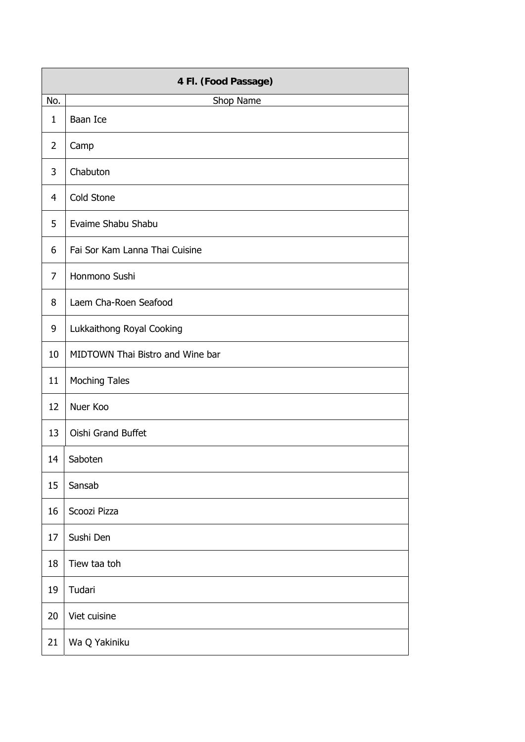| 4 Fl. (Food Passage) |                                  |
|----------------------|----------------------------------|
| No.                  | Shop Name                        |
| $\mathbf{1}$         | Baan Ice                         |
| $\overline{2}$       | Camp                             |
| 3                    | Chabuton                         |
| $\overline{4}$       | Cold Stone                       |
| 5                    | Evaime Shabu Shabu               |
| 6                    | Fai Sor Kam Lanna Thai Cuisine   |
| 7                    | Honmono Sushi                    |
| 8                    | Laem Cha-Roen Seafood            |
| 9                    | Lukkaithong Royal Cooking        |
| 10                   | MIDTOWN Thai Bistro and Wine bar |
| 11                   | <b>Moching Tales</b>             |
| 12                   | Nuer Koo                         |
| 13                   | Oishi Grand Buffet               |
| 14                   | Saboten                          |
| 15                   | Sansab                           |
| 16                   | Scoozi Pizza                     |
| 17                   | Sushi Den                        |
| 18                   | Tiew taa toh                     |
| 19                   | Tudari                           |
| 20                   | Viet cuisine                     |
| 21                   | Wa Q Yakiniku                    |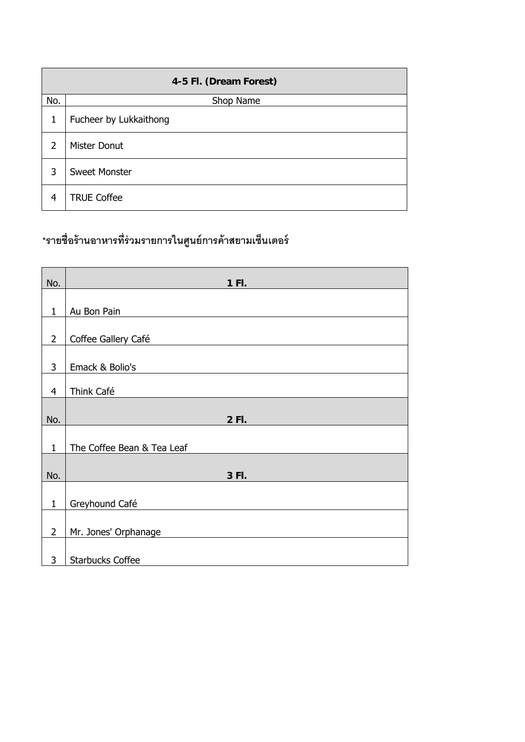| 4-5 Fl. (Dream Forest) |                        |
|------------------------|------------------------|
| No.                    | Shop Name              |
| 1                      | Fucheer by Lukkaithong |
| $\overline{2}$         | Mister Donut           |
| 3                      | <b>Sweet Monster</b>   |
| 4                      | <b>TRUE Coffee</b>     |

## **\*รายช่ือร้านอาหารท่รี่วมรายการในศนยู ์การค้าสยามเซนเตอร ็ ์**

| No.            | 1 FI.                      |
|----------------|----------------------------|
|                |                            |
| $\mathbf{1}$   | Au Bon Pain                |
| $\overline{2}$ | Coffee Gallery Café        |
| 3              | Emack & Bolio's            |
| $\overline{4}$ | Think Café                 |
| No.            | 2 FI.                      |
| $\mathbf{1}$   | The Coffee Bean & Tea Leaf |
| No.            | 3 FI.                      |
| $\mathbf{1}$   | Greyhound Café             |
| $\overline{2}$ | Mr. Jones' Orphanage       |
| 3              | <b>Starbucks Coffee</b>    |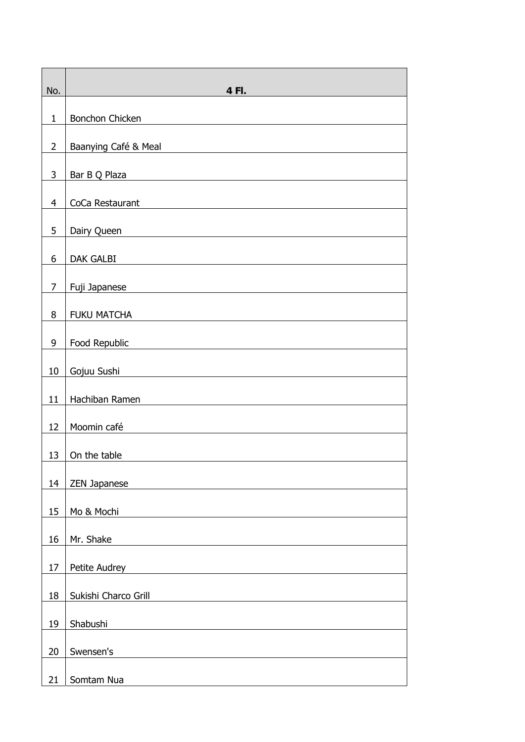| No.            | 4 FI.                                                                                                                                                                                                                                                 |
|----------------|-------------------------------------------------------------------------------------------------------------------------------------------------------------------------------------------------------------------------------------------------------|
| $\mathbf{1}$   | Bonchon Chicken<br><u> 1980 - Jan Sterling Sterling, amerikansk politiker (</u>                                                                                                                                                                       |
| $\overline{2}$ | Baanying Café & Meal<br>the control of the control of the control of the control of the control of the control of the control of the control of the control of the control of the control of the control of the control of the control of the control |
| $\mathsf{3}$   | Bar B Q Plaza                                                                                                                                                                                                                                         |
| $\overline{4}$ | CoCa Restaurant                                                                                                                                                                                                                                       |
| 5              | Dairy Queen                                                                                                                                                                                                                                           |
| 6              | DAK GALBI                                                                                                                                                                                                                                             |
| $\overline{7}$ | Fuji Japanese <b>Manual Alexandria</b> Propose and Propose and Propose and Propose and Propose and Propose and Propose                                                                                                                                |
| 8              | FUKU MATCHA                                                                                                                                                                                                                                           |
| 9              | Food Republic                                                                                                                                                                                                                                         |
| $10\,$         | Gojuu Sushi<br><u> 1989 - Johann Stoff, fransk politik (d. 1989)</u>                                                                                                                                                                                  |
| 11             | Hachiban Ramen                                                                                                                                                                                                                                        |
| 12             | Moomin café                                                                                                                                                                                                                                           |
| 13             | On the table                                                                                                                                                                                                                                          |
| 14             | <b>ZEN Japanese</b>                                                                                                                                                                                                                                   |
| 15             | Mo & Mochi                                                                                                                                                                                                                                            |
| 16             | Mr. Shake                                                                                                                                                                                                                                             |
| 17             | Petite Audrey                                                                                                                                                                                                                                         |
| 18             | Sukishi Charco Grill                                                                                                                                                                                                                                  |
| 19             | Shabushi                                                                                                                                                                                                                                              |
| 20             | Swensen's                                                                                                                                                                                                                                             |
| 21             | Somtam Nua                                                                                                                                                                                                                                            |